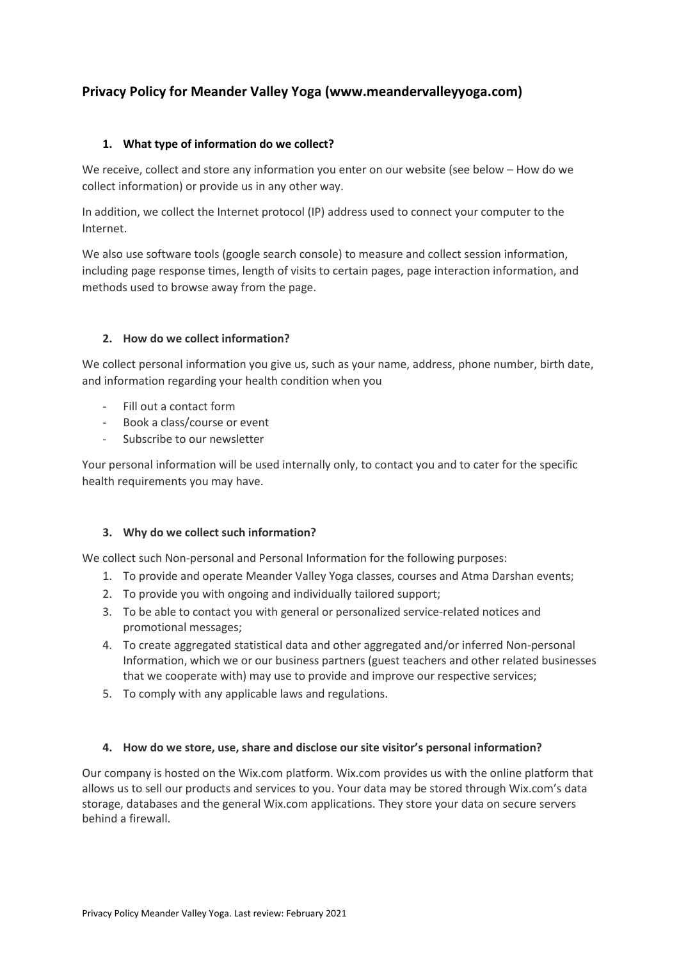# **Privacy Policy for Meander Valley Yoga (www.meandervalleyyoga.com)**

# **1. What type of information do we collect?**

We receive, collect and store any information you enter on our website (see below – How do we collect information) or provide us in any other way.

In addition, we collect the Internet protocol (IP) address used to connect your computer to the Internet.

We also use software tools (google search console) to measure and collect session information, including page response times, length of visits to certain pages, page interaction information, and methods used to browse away from the page.

# **2. How do we collect information?**

We collect personal information you give us, such as your name, address, phone number, birth date, and information regarding your health condition when you

- Fill out a contact form
- Book a class/course or event
- Subscribe to our newsletter

Your personal information will be used internally only, to contact you and to cater for the specific health requirements you may have.

# **3. Why do we collect such information?**

We collect such Non-personal and Personal Information for the following purposes:

- 1. To provide and operate Meander Valley Yoga classes, courses and Atma Darshan events;
- 2. To provide you with ongoing and individually tailored support;
- 3. To be able to contact you with general or personalized service-related notices and promotional messages;
- 4. To create aggregated statistical data and other aggregated and/or inferred Non-personal Information, which we or our business partners (guest teachers and other related businesses that we cooperate with) may use to provide and improve our respective services;
- 5. To comply with any applicable laws and regulations.

# **4. How do we store, use, share and disclose our site visitor's personal information?**

Our company is hosted on the Wix.com platform. Wix.com provides us with the online platform that allows us to sell our products and services to you. Your data may be stored through Wix.com's data storage, databases and the general Wix.com applications. They store your data on secure servers behind a firewall.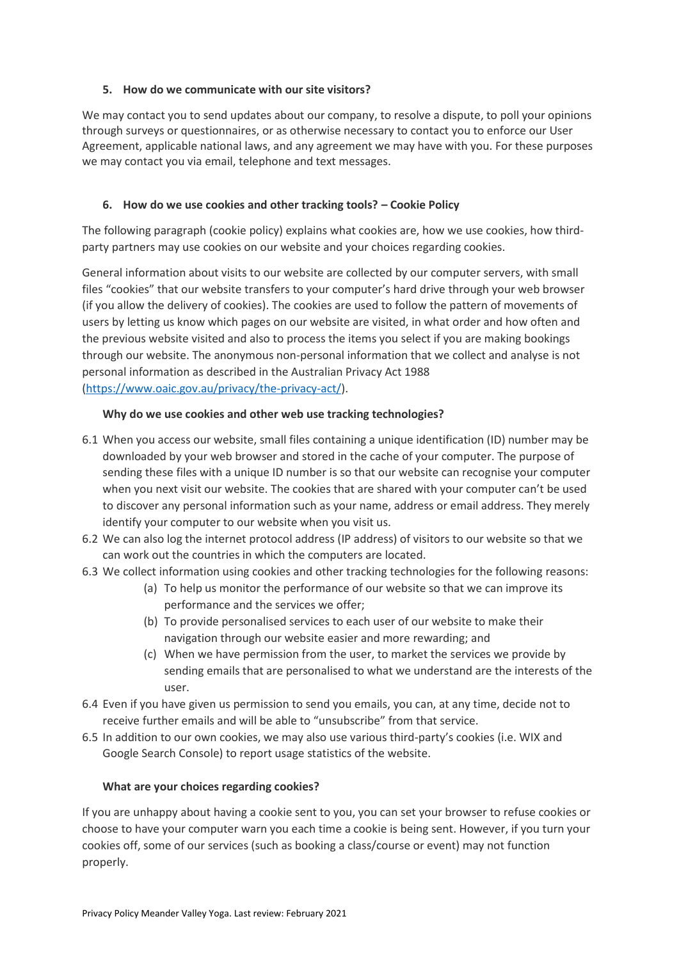## **5. How do we communicate with our site visitors?**

We may contact you to send updates about our company, to resolve a dispute, to poll your opinions through surveys or questionnaires, or as otherwise necessary to contact you to enforce our User Agreement, applicable national laws, and any agreement we may have with you. For these purposes we may contact you via email, telephone and text messages.

# **6. How do we use cookies and other tracking tools? – Cookie Policy**

The following paragraph (cookie policy) explains what cookies are, how we use cookies, how thirdparty partners may use cookies on our website and your choices regarding cookies.

General information about visits to our website are collected by our computer servers, with small files "cookies" that our website transfers to your computer's hard drive through your web browser (if you allow the delivery of cookies). The cookies are used to follow the pattern of movements of users by letting us know which pages on our website are visited, in what order and how often and the previous website visited and also to process the items you select if you are making bookings through our website. The anonymous non-personal information that we collect and analyse is not personal information as described in the Australian Privacy Act 1988 [\(https://www.oaic.gov.au/privacy/the-privacy-act/\)](https://www.oaic.gov.au/privacy/the-privacy-act/).

## **Why do we use cookies and other web use tracking technologies?**

- 6.1 When you access our website, small files containing a unique identification (ID) number may be downloaded by your web browser and stored in the cache of your computer. The purpose of sending these files with a unique ID number is so that our website can recognise your computer when you next visit our website. The cookies that are shared with your computer can't be used to discover any personal information such as your name, address or email address. They merely identify your computer to our website when you visit us.
- 6.2 We can also log the internet protocol address (IP address) of visitors to our website so that we can work out the countries in which the computers are located.
- 6.3 We collect information using cookies and other tracking technologies for the following reasons:
	- (a) To help us monitor the performance of our website so that we can improve its performance and the services we offer;
	- (b) To provide personalised services to each user of our website to make their navigation through our website easier and more rewarding; and
	- (c) When we have permission from the user, to market the services we provide by sending emails that are personalised to what we understand are the interests of the user.
- 6.4 Even if you have given us permission to send you emails, you can, at any time, decide not to receive further emails and will be able to "unsubscribe" from that service.
- 6.5 In addition to our own cookies, we may also use various third-party's cookies (i.e. WIX and Google Search Console) to report usage statistics of the website.

#### **What are your choices regarding cookies?**

If you are unhappy about having a cookie sent to you, you can set your browser to refuse cookies or choose to have your computer warn you each time a cookie is being sent. However, if you turn your cookies off, some of our services (such as booking a class/course or event) may not function properly.